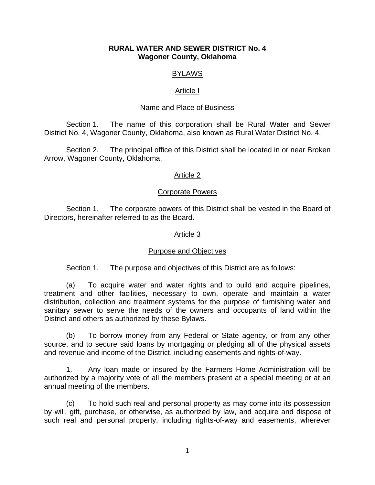### **RURAL WATER AND SEWER DISTRICT No. 4 Wagoner County, Oklahoma**

# **BYLAWS**

## Article I

## Name and Place of Business

 Section 1. The name of this corporation shall be Rural Water and Sewer District No. 4, Wagoner County, Oklahoma, also known as Rural Water District No. 4.

 Section 2. The principal office of this District shall be located in or near Broken Arrow, Wagoner County, Oklahoma.

# Article 2

## Corporate Powers

 Section 1. The corporate powers of this District shall be vested in the Board of Directors, hereinafter referred to as the Board.

## Article 3

# Purpose and Objectives

Section 1. The purpose and objectives of this District are as follows:

 (a) To acquire water and water rights and to build and acquire pipelines, treatment and other facilities, necessary to own, operate and maintain a water distribution, collection and treatment systems for the purpose of furnishing water and sanitary sewer to serve the needs of the owners and occupants of land within the District and others as authorized by these Bylaws.

 (b) To borrow money from any Federal or State agency, or from any other source, and to secure said loans by mortgaging or pledging all of the physical assets and revenue and income of the District, including easements and rights-of-way.

1. Any loan made or insured by the Farmers Home Administration will be authorized by a majority vote of all the members present at a special meeting or at an annual meeting of the members.

(c) To hold such real and personal property as may come into its possession by will, gift, purchase, or otherwise, as authorized by law, and acquire and dispose of such real and personal property, including rights-of-way and easements, wherever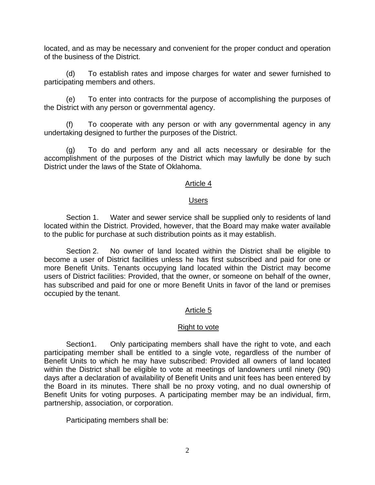located, and as may be necessary and convenient for the proper conduct and operation of the business of the District.

(d) To establish rates and impose charges for water and sewer furnished to participating members and others.

(e) To enter into contracts for the purpose of accomplishing the purposes of the District with any person or governmental agency.

(f) To cooperate with any person or with any governmental agency in any undertaking designed to further the purposes of the District.

(g) To do and perform any and all acts necessary or desirable for the accomplishment of the purposes of the District which may lawfully be done by such District under the laws of the State of Oklahoma.

# Article 4

# Users

Section 1. Water and sewer service shall be supplied only to residents of land located within the District. Provided, however, that the Board may make water available to the public for purchase at such distribution points as it may establish.

Section 2. No owner of land located within the District shall be eligible to become a user of District facilities unless he has first subscribed and paid for one or more Benefit Units. Tenants occupying land located within the District may become users of District facilities: Provided, that the owner, or someone on behalf of the owner, has subscribed and paid for one or more Benefit Units in favor of the land or premises occupied by the tenant.

# Article 5

# Right to vote

Section1. Only participating members shall have the right to vote, and each participating member shall be entitled to a single vote, regardless of the number of Benefit Units to which he may have subscribed: Provided all owners of land located within the District shall be eligible to vote at meetings of landowners until ninety (90) days after a declaration of availability of Benefit Units and unit fees has been entered by the Board in its minutes. There shall be no proxy voting, and no dual ownership of Benefit Units for voting purposes. A participating member may be an individual, firm, partnership, association, or corporation.

Participating members shall be: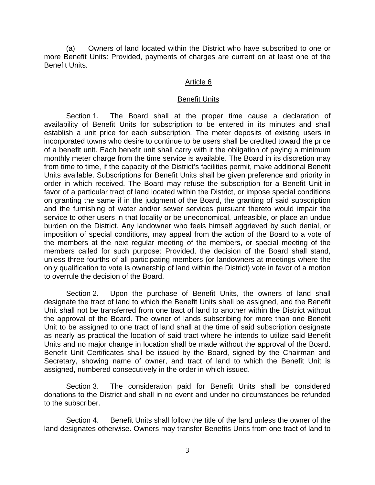(a) Owners of land located within the District who have subscribed to one or more Benefit Units: Provided, payments of charges are current on at least one of the Benefit Units.

### Article 6

### Benefit Units

Section 1. The Board shall at the proper time cause a declaration of availability of Benefit Units for subscription to be entered in its minutes and shall establish a unit price for each subscription. The meter deposits of existing users in incorporated towns who desire to continue to be users shall be credited toward the price of a benefit unit. Each benefit unit shall carry with it the obligation of paying a minimum monthly meter charge from the time service is available. The Board in its discretion may from time to time, if the capacity of the District's facilities permit, make additional Benefit Units available. Subscriptions for Benefit Units shall be given preference and priority in order in which received. The Board may refuse the subscription for a Benefit Unit in favor of a particular tract of land located within the District, or impose special conditions on granting the same if in the judgment of the Board, the granting of said subscription and the furnishing of water and/or sewer services pursuant thereto would impair the service to other users in that locality or be uneconomical, unfeasible, or place an undue burden on the District. Any landowner who feels himself aggrieved by such denial, or imposition of special conditions, may appeal from the action of the Board to a vote of the members at the next regular meeting of the members, or special meeting of the members called for such purpose: Provided, the decision of the Board shall stand, unless three-fourths of all participating members (or landowners at meetings where the only qualification to vote is ownership of land within the District) vote in favor of a motion to overrule the decision of the Board.

Section 2. Upon the purchase of Benefit Units, the owners of land shall designate the tract of land to which the Benefit Units shall be assigned, and the Benefit Unit shall not be transferred from one tract of land to another within the District without the approval of the Board. The owner of lands subscribing for more than one Benefit Unit to be assigned to one tract of land shall at the time of said subscription designate as nearly as practical the location of said tract where he intends to utilize said Benefit Units and no major change in location shall be made without the approval of the Board. Benefit Unit Certificates shall be issued by the Board, signed by the Chairman and Secretary, showing name of owner, and tract of land to which the Benefit Unit is assigned, numbered consecutively in the order in which issued.

Section 3. The consideration paid for Benefit Units shall be considered donations to the District and shall in no event and under no circumstances be refunded to the subscriber.

Section 4. Benefit Units shall follow the title of the land unless the owner of the land designates otherwise. Owners may transfer Benefits Units from one tract of land to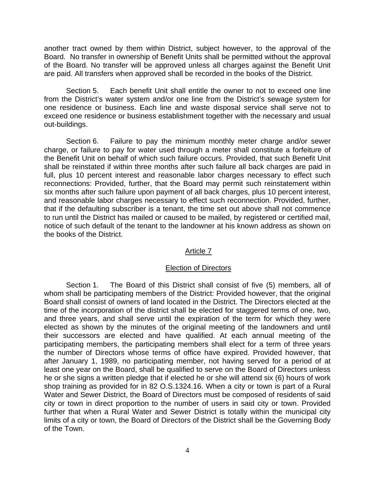another tract owned by them within District, subject however, to the approval of the Board. No transfer in ownership of Benefit Units shall be permitted without the approval of the Board. No transfer will be approved unless all charges against the Benefit Unit are paid. All transfers when approved shall be recorded in the books of the District.

Section 5. Each benefit Unit shall entitle the owner to not to exceed one line from the District's water system and/or one line from the District's sewage system for one residence or business. Each line and waste disposal service shall serve not to exceed one residence or business establishment together with the necessary and usual out-buildings.

Section 6. Failure to pay the minimum monthly meter charge and/or sewer charge, or failure to pay for water used through a meter shall constitute a forfeiture of the Benefit Unit on behalf of which such failure occurs. Provided, that such Benefit Unit shall be reinstated if within three months after such failure all back charges are paid in full, plus 10 percent interest and reasonable labor charges necessary to effect such reconnections: Provided, further, that the Board may permit such reinstatement within six months after such failure upon payment of all back charges, plus 10 percent interest, and reasonable labor charges necessary to effect such reconnection. Provided, further, that if the defaulting subscriber is a tenant, the time set out above shall not commence to run until the District has mailed or caused to be mailed, by registered or certified mail, notice of such default of the tenant to the landowner at his known address as shown on the books of the District.

# Article 7

### Election of Directors

Section 1. The Board of this District shall consist of five (5) members, all of whom shall be participating members of the District: Provided however, that the original Board shall consist of owners of land located in the District. The Directors elected at the time of the incorporation of the district shall be elected for staggered terms of one, two, and three years, and shall serve until the expiration of the term for which they were elected as shown by the minutes of the original meeting of the landowners and until their successors are elected and have qualified. At each annual meeting of the participating members, the participating members shall elect for a term of three years the number of Directors whose terms of office have expired. Provided however, that after January 1, 1989, no participating member, not having served for a period of at least one year on the Board, shall be qualified to serve on the Board of Directors unless he or she signs a written pledge that if elected he or she will attend six (6) hours of work shop training as provided for in 82 O.S.1324.16. When a city or town is part of a Rural Water and Sewer District, the Board of Directors must be composed of residents of said city or town in direct proportion to the number of users in said city or town. Provided further that when a Rural Water and Sewer District is totally within the municipal city limits of a city or town, the Board of Directors of the District shall be the Governing Body of the Town.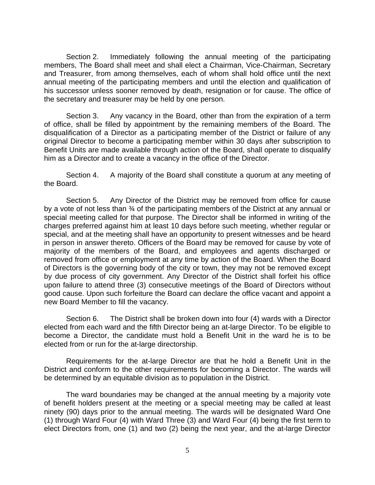Section 2. Immediately following the annual meeting of the participating members, The Board shall meet and shall elect a Chairman, Vice-Chairman, Secretary and Treasurer, from among themselves, each of whom shall hold office until the next annual meeting of the participating members and until the election and qualification of his successor unless sooner removed by death, resignation or for cause. The office of the secretary and treasurer may be held by one person.

Section 3. Any vacancy in the Board, other than from the expiration of a term of office, shall be filled by appointment by the remaining members of the Board. The disqualification of a Director as a participating member of the District or failure of any original Director to become a participating member within 30 days after subscription to Benefit Units are made available through action of the Board, shall operate to disqualify him as a Director and to create a vacancy in the office of the Director.

Section 4. A majority of the Board shall constitute a quorum at any meeting of the Board.

Section 5. Any Director of the District may be removed from office for cause by a vote of not less than 34 of the participating members of the District at any annual or special meeting called for that purpose. The Director shall be informed in writing of the charges preferred against him at least 10 days before such meeting, whether regular or special, and at the meeting shall have an opportunity to present witnesses and be heard in person in answer thereto. Officers of the Board may be removed for cause by vote of majority of the members of the Board, and employees and agents discharged or removed from office or employment at any time by action of the Board. When the Board of Directors is the governing body of the city or town, they may not be removed except by due process of city government. Any Director of the District shall forfeit his office upon failure to attend three (3) consecutive meetings of the Board of Directors without good cause. Upon such forfeiture the Board can declare the office vacant and appoint a new Board Member to fill the vacancy.

Section 6. The District shall be broken down into four (4) wards with a Director elected from each ward and the fifth Director being an at-large Director. To be eligible to become a Director, the candidate must hold a Benefit Unit in the ward he is to be elected from or run for the at-large directorship.

Requirements for the at-large Director are that he hold a Benefit Unit in the District and conform to the other requirements for becoming a Director. The wards will be determined by an equitable division as to population in the District.

The ward boundaries may be changed at the annual meeting by a majority vote of benefit holders present at the meeting or a special meeting may be called at least ninety (90) days prior to the annual meeting. The wards will be designated Ward One (1) through Ward Four (4) with Ward Three (3) and Ward Four (4) being the first term to elect Directors from, one (1) and two (2) being the next year, and the at-large Director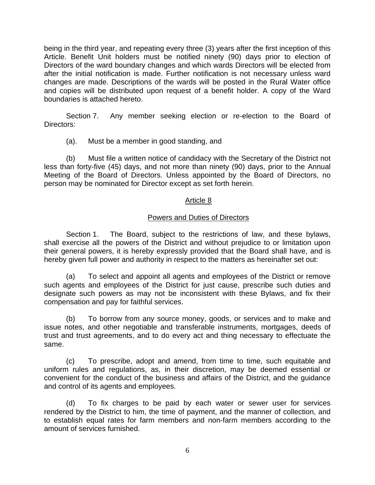being in the third year, and repeating every three (3) years after the first inception of this Article. Benefit Unit holders must be notified ninety (90) days prior to election of Directors of the ward boundary changes and which wards Directors will be elected from after the initial notification is made. Further notification is not necessary unless ward changes are made. Descriptions of the wards will be posted in the Rural Water office and copies will be distributed upon request of a benefit holder. A copy of the Ward boundaries is attached hereto.

Section 7. Any member seeking election or re-election to the Board of Directors:

(a). Must be a member in good standing, and

(b) Must file a written notice of candidacy with the Secretary of the District not less than forty-five (45) days, and not more than ninety (90) days, prior to the Annual Meeting of the Board of Directors. Unless appointed by the Board of Directors, no person may be nominated for Director except as set forth herein.

# Article 8

# Powers and Duties of Directors

Section 1. The Board, subject to the restrictions of law, and these bylaws, shall exercise all the powers of the District and without prejudice to or limitation upon their general powers, it is hereby expressly provided that the Board shall have, and is hereby given full power and authority in respect to the matters as hereinafter set out:

(a) To select and appoint all agents and employees of the District or remove such agents and employees of the District for just cause, prescribe such duties and designate such powers as may not be inconsistent with these Bylaws, and fix their compensation and pay for faithful services.

(b) To borrow from any source money, goods, or services and to make and issue notes, and other negotiable and transferable instruments, mortgages, deeds of trust and trust agreements, and to do every act and thing necessary to effectuate the same.

(c) To prescribe, adopt and amend, from time to time, such equitable and uniform rules and regulations, as, in their discretion, may be deemed essential or convenient for the conduct of the business and affairs of the District, and the guidance and control of its agents and employees.

(d) To fix charges to be paid by each water or sewer user for services rendered by the District to him, the time of payment, and the manner of collection, and to establish equal rates for farm members and non-farm members according to the amount of services furnished.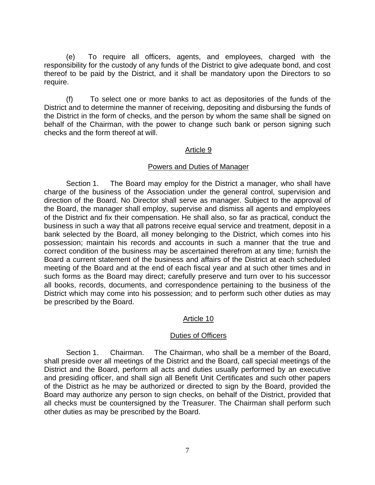(e) To require all officers, agents, and employees, charged with the responsibility for the custody of any funds of the District to give adequate bond, and cost thereof to be paid by the District, and it shall be mandatory upon the Directors to so require.

(f) To select one or more banks to act as depositories of the funds of the District and to determine the manner of receiving, depositing and disbursing the funds of the District in the form of checks, and the person by whom the same shall be signed on behalf of the Chairman, with the power to change such bank or person signing such checks and the form thereof at will.

# Article 9

# Powers and Duties of Manager

Section 1. The Board may employ for the District a manager, who shall have charge of the business of the Association under the general control, supervision and direction of the Board. No Director shall serve as manager. Subject to the approval of the Board, the manager shall employ, supervise and dismiss all agents and employees of the District and fix their compensation. He shall also, so far as practical, conduct the business in such a way that all patrons receive equal service and treatment, deposit in a bank selected by the Board, all money belonging to the District, which comes into his possession; maintain his records and accounts in such a manner that the true and correct condition of the business may be ascertained therefrom at any time; furnish the Board a current statement of the business and affairs of the District at each scheduled meeting of the Board and at the end of each fiscal year and at such other times and in such forms as the Board may direct; carefully preserve and turn over to his successor all books, records, documents, and correspondence pertaining to the business of the District which may come into his possession; and to perform such other duties as may be prescribed by the Board.

# Article 10

# Duties of Officers

Section 1. Chairman. The Chairman, who shall be a member of the Board, shall preside over all meetings of the District and the Board, call special meetings of the District and the Board, perform all acts and duties usually performed by an executive and presiding officer, and shall sign all Benefit Unit Certificates and such other papers of the District as he may be authorized or directed to sign by the Board, provided the Board may authorize any person to sign checks, on behalf of the District, provided that all checks must be countersigned by the Treasurer. The Chairman shall perform such other duties as may be prescribed by the Board.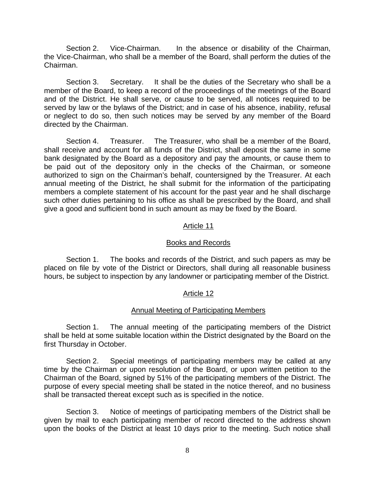Section 2. Vice-Chairman. In the absence or disability of the Chairman, the Vice-Chairman, who shall be a member of the Board, shall perform the duties of the Chairman.

Section 3. Secretary. It shall be the duties of the Secretary who shall be a member of the Board, to keep a record of the proceedings of the meetings of the Board and of the District. He shall serve, or cause to be served, all notices required to be served by law or the bylaws of the District; and in case of his absence, inability, refusal or neglect to do so, then such notices may be served by any member of the Board directed by the Chairman.

Section 4. Treasurer. The Treasurer, who shall be a member of the Board, shall receive and account for all funds of the District, shall deposit the same in some bank designated by the Board as a depository and pay the amounts, or cause them to be paid out of the depository only in the checks of the Chairman, or someone authorized to sign on the Chairman's behalf, countersigned by the Treasurer. At each annual meeting of the District, he shall submit for the information of the participating members a complete statement of his account for the past year and he shall discharge such other duties pertaining to his office as shall be prescribed by the Board, and shall give a good and sufficient bond in such amount as may be fixed by the Board.

### Article 11

#### Books and Records

Section 1. The books and records of the District, and such papers as may be placed on file by vote of the District or Directors, shall during all reasonable business hours, be subject to inspection by any landowner or participating member of the District.

### Article 12

### Annual Meeting of Participating Members

Section 1. The annual meeting of the participating members of the District shall be held at some suitable location within the District designated by the Board on the first Thursday in October.

Section 2. Special meetings of participating members may be called at any time by the Chairman or upon resolution of the Board, or upon written petition to the Chairman of the Board, signed by 51% of the participating members of the District. The purpose of every special meeting shall be stated in the notice thereof, and no business shall be transacted thereat except such as is specified in the notice.

Section 3. Notice of meetings of participating members of the District shall be given by mail to each participating member of record directed to the address shown upon the books of the District at least 10 days prior to the meeting. Such notice shall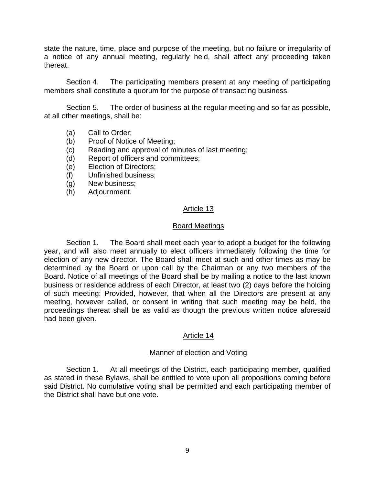state the nature, time, place and purpose of the meeting, but no failure or irregularity of a notice of any annual meeting, regularly held, shall affect any proceeding taken thereat.

Section 4. The participating members present at any meeting of participating members shall constitute a quorum for the purpose of transacting business.

Section 5. The order of business at the regular meeting and so far as possible, at all other meetings, shall be:

- (a) Call to Order;
- (b) Proof of Notice of Meeting;
- (c) Reading and approval of minutes of last meeting;
- (d) Report of officers and committees;
- (e) Election of Directors;
- (f) Unfinished business;
- (g) New business;
- (h) Adjournment.

## Article 13

#### Board Meetings

Section 1. The Board shall meet each year to adopt a budget for the following year, and will also meet annually to elect officers immediately following the time for election of any new director. The Board shall meet at such and other times as may be determined by the Board or upon call by the Chairman or any two members of the Board. Notice of all meetings of the Board shall be by mailing a notice to the last known business or residence address of each Director, at least two (2) days before the holding of such meeting: Provided, however, that when all the Directors are present at any meeting, however called, or consent in writing that such meeting may be held, the proceedings thereat shall be as valid as though the previous written notice aforesaid had been given.

# Article 14

### Manner of election and Voting

Section 1. At all meetings of the District, each participating member, qualified as stated in these Bylaws, shall be entitled to vote upon all propositions coming before said District. No cumulative voting shall be permitted and each participating member of the District shall have but one vote.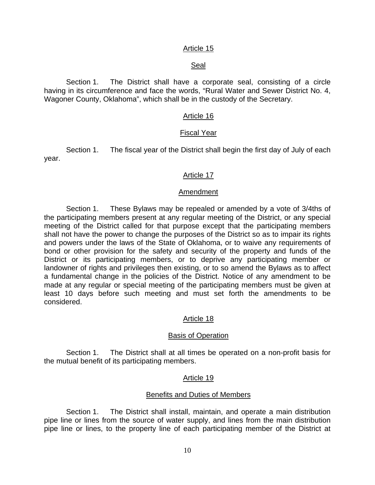## Article 15

## Seal

Section 1. The District shall have a corporate seal, consisting of a circle having in its circumference and face the words, "Rural Water and Sewer District No. 4, Wagoner County, Oklahoma", which shall be in the custody of the Secretary.

## Article 16

#### Fiscal Year

Section 1. The fiscal year of the District shall begin the first day of July of each year.

### Article 17

#### Amendment

Section 1. These Bylaws may be repealed or amended by a vote of 3/4ths of the participating members present at any regular meeting of the District, or any special meeting of the District called for that purpose except that the participating members shall not have the power to change the purposes of the District so as to impair its rights and powers under the laws of the State of Oklahoma, or to waive any requirements of bond or other provision for the safety and security of the property and funds of the District or its participating members, or to deprive any participating member or landowner of rights and privileges then existing, or to so amend the Bylaws as to affect a fundamental change in the policies of the District. Notice of any amendment to be made at any regular or special meeting of the participating members must be given at least 10 days before such meeting and must set forth the amendments to be considered.

### Article 18

### Basis of Operation

Section 1. The District shall at all times be operated on a non-profit basis for the mutual benefit of its participating members.

### Article 19

### Benefits and Duties of Members

Section 1. The District shall install, maintain, and operate a main distribution pipe line or lines from the source of water supply, and lines from the main distribution pipe line or lines, to the property line of each participating member of the District at